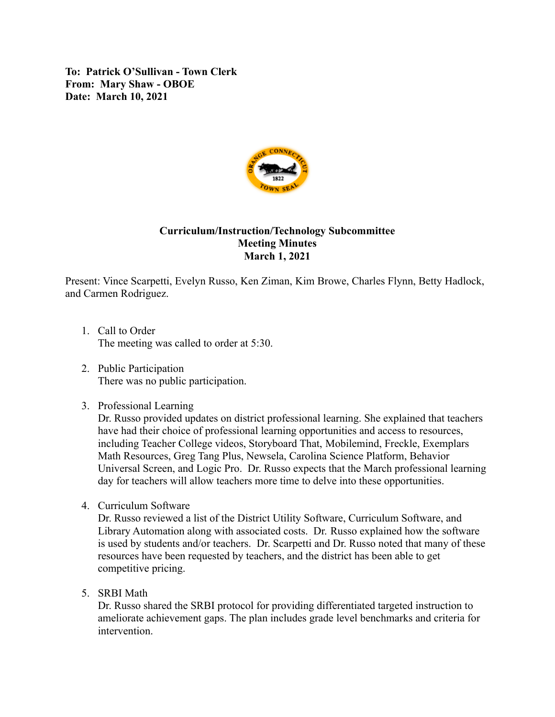**To: Patrick O'Sullivan - Town Clerk From: Mary Shaw - OBOE Date: March 10, 2021**



## **Curriculum/Instruction/Technology Subcommittee Meeting Minutes March 1, 2021**

Present: Vince Scarpetti, Evelyn Russo, Ken Ziman, Kim Browe, Charles Flynn, Betty Hadlock, and Carmen Rodriguez.

- 1. Call to Order The meeting was called to order at 5:30.
- 2. Public Participation There was no public participation.
- 3. Professional Learning

Dr. Russo provided updates on district professional learning. She explained that teachers have had their choice of professional learning opportunities and access to resources, including Teacher College videos, Storyboard That, Mobilemind, Freckle, Exemplars Math Resources, Greg Tang Plus, Newsela, Carolina Science Platform, Behavior Universal Screen, and Logic Pro. Dr. Russo expects that the March professional learning day for teachers will allow teachers more time to delve into these opportunities.

4. Curriculum Software

Dr. Russo reviewed a list of the District Utility Software, Curriculum Software, and Library Automation along with associated costs. Dr. Russo explained how the software is used by students and/or teachers. Dr. Scarpetti and Dr. Russo noted that many of these resources have been requested by teachers, and the district has been able to get competitive pricing.

5. SRBI Math

Dr. Russo shared the SRBI protocol for providing differentiated targeted instruction to ameliorate achievement gaps. The plan includes grade level benchmarks and criteria for intervention.